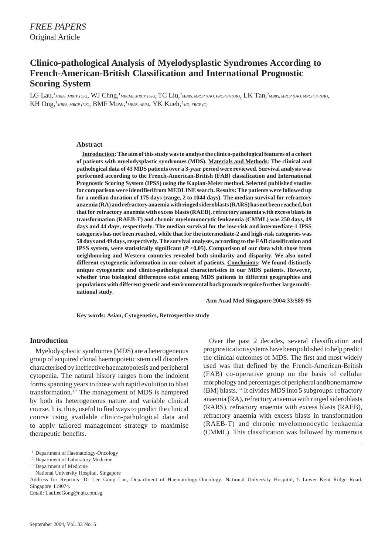# **Clinico-pathological Analysis of Myelodysplastic Syndromes According to French-American-British Classification and International Prognostic Scoring System**

LG Lau,<sup>1</sup>MBBS, MRCP (UK), WJ Chng,<sup>1</sup>MBChB, MRCP (UK), TC Liu,<sup>2</sup>MBBS, MRCP (UK), FRCPath (UK), LK Tan,<sup>2</sup>MBBS, MRCP (UK), MRCPath (UK), KH Ong,<sup>1</sup>MBBS, MRCP (UK), BMF Mow,<sup>1</sup>MBBS, ABIM, YK Kueh,<sup>3</sup>MD, FRCP (C)

#### **Abstract**

**Introduction: The aim of this study was to analyse the clinico-pathological features of a cohort of patients with myelodysplastic syndromes (MDS). Materials and Methods: The clinical and pathological data of 43 MDS patients over a 3-year period were reviewed. Survival analysis was performed according to the French-American-British (FAB) classification and International Prognostic Scoring System (IPSS) using the Kaplan-Meier method. Selected published studies for comparison were identified from MEDLINE search. Results: The patients were followed up for a median duration of 175 days (range, 2 to 1044 days). The median survival for refractory anaemia (RA) and refractory anaemia with ringed sideroblasts (RARS) has not been reached, but that for refractory anaemia with excess blasts (RAEB), refractory anaemia with excess blasts in transformation (RAEB-T) and chronic myelomonocytic leukaemia (CMML) was 250 days, 49 days and 44 days, respectively. The median survival for the low-risk and intermediate-1 IPSS categories has not been reached, while that for the intermediate-2 and high-risk categories was 58 days and 49 days, respectively. The survival analyses, according to the FAB classification and IPSS system, were statistically significant (***P* **<0.05). Comparison of our data with those from neighbouring and Western countries revealed both similarity and disparity. We also noted different cytogenetic information in our cohort of patients. Conclusions: We found distinctly unique cytogenetic and clinico-pathological characteristics in our MDS patients. However, whether true biological differences exist among MDS patients in different geographies and populations with different genetic and environmental backgrounds require further large multinational study.**

**Ann Acad Med Singapore 2004;33:589-95**

**Key words: Asian, Cytogenetics, Retrospective study**

#### **Introduction**

Myelodysplastic syndromes (MDS) are a heterogeneous group of acquired clonal haemopoietic stem cell disorders characterised by ineffective haematopoiesis and peripheral cytopenia. The natural history ranges from the indolent forms spanning years to those with rapid evolution to blast transformation.<sup>1,2</sup> The management of MDS is hampered by both its heterogeneous nature and variable clinical course. It is, thus, useful to find ways to predict the clinical course using available clinico-pathological data and to apply tailored management strategy to maximise therapeutic benefits.

Over the past 2 decades, several classification and prognostication systems have been published to help predict the clinical outcomes of MDS. The first and most widely used was that defined by the French-American-British (FAB) co-operative group on the basis of cellular morphology and percentages of peripheral and bone marrow (BM) blasts.3,4 It divides MDS into 5 subgroups: refractory anaemia (RA), refractory anaemia with ringed sideroblasts (RARS), refractory anaemia with excess blasts (RAEB), refractory anaemia with excess blasts in transformation (RAEB-T) and chronic myelomonocytic leukaemia (CMML). This classification was followed by numerous

<sup>&</sup>lt;sup>1</sup> Department of Haematology-Oncology

<sup>2</sup> Department of Laboratory Medicine

<sup>&</sup>lt;sup>3</sup> Department of Medicine

National University Hospital, Singapore

Address for Reprints: Dr Lee Gong Lau, Department of Haematology-Oncology, National University Hospital, 5 Lower Kent Ridge Road, Singapore 119074.

Email: LauLeeGong@nuh.com.sg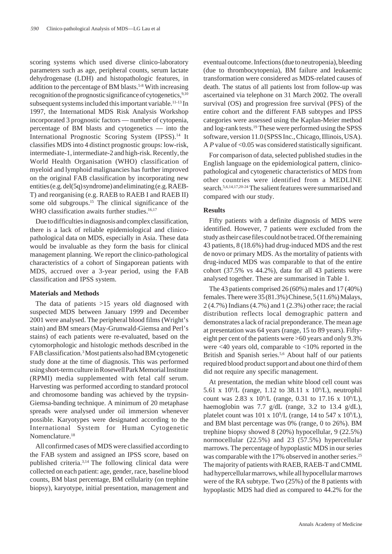scoring systems which used diverse clinico-laboratory parameters such as age, peripheral counts, serum lactate dehydrogenase (LDH) and histopathologic features, in addition to the percentage of BM blasts.<sup>5-8</sup> With increasing recognition of the prognostic significance of cytogenetics,<sup>9,10</sup> subsequent systems included this important variable.<sup>11-13</sup> In 1997, the International MDS Risk Analysis Workshop incorporated 3 prognostic factors — number of cytopenia, percentage of BM blasts and cytogenetics — into the International Prognostic Scoring System (IPSS).<sup>14</sup> It classifies MDS into 4 distinct prognostic groups: low-risk, intermediate-1, intermediate-2 and high-risk. Recently, the World Health Organisation (WHO) classification of myeloid and lymphoid malignancies has further improved on the original FAB classification by incorporating new entities (e.g. del(5q) syndrome) and eliminating (e.g. RAEB-T) and reorganising (e.g. RAEB to RAEB I and RAEB II) some old subgroups.<sup>15</sup> The clinical significance of the WHO classification awaits further studies.<sup>16,17</sup>

Due to difficulties in diagnosis and complex classification, there is a lack of reliable epidemiological and clinicopathological data on MDS, especially in Asia. These data would be invaluable as they form the basis for clinical management planning. We report the clinico-pathological characteristics of a cohort of Singaporean patients with MDS, accrued over a 3-year period, using the FAB classification and IPSS system.

## **Materials and Methods**

The data of patients >15 years old diagnosed with suspected MDS between January 1999 and December 2001 were analysed. The peripheral blood films (Wright's stain) and BM smears (May-Grunwald-Giemsa and Perl's stains) of each patients were re-evaluated, based on the cytomorphologic and histologic methods described in the FAB classification.3 Most patients also had BM cytogenetic study done at the time of diagnosis. This was performed using short-term culture in Rosewell Park Memorial Institute (RPMI) media supplemented with fetal calf serum. Harvesting was performed according to standard protocol and chromosome banding was achieved by the trypsin-Giemsa-banding technique. A minimum of 20 metaphase spreads were analysed under oil immersion whenever possible. Karyotypes were designated according to the International System for Human Cytogenetic Nomenclature.<sup>18</sup>

All confirmed cases of MDS were classified according to the FAB system and assigned an IPSS score, based on published criteria.3,14 The following clinical data were collected on each patient: age, gender, race, baseline blood counts, BM blast percentage, BM cellularity (on trephine biopsy), karyotype, initial presentation, management and eventual outcome. Infections (due to neutropenia), bleeding (due to thrombocytopenia), BM failure and leukaemic transformation were considered as MDS-related causes of death. The status of all patients lost from follow-up was ascertained via telephone on 31 March 2002. The overall survival (OS) and progression free survival (PFS) of the entire cohort and the different FAB subtypes and IPSS categories were assessed using the Kaplan-Meier method and log-rank tests.19 These were performed using the SPSS software, version 11.0 (SPSS Inc., Chicago, Illinois, USA). A *P* value of <0.05 was considered statistically significant.

For comparison of data, selected published studies in the English language on the epidemiological pattern, clinicopathological and cytogenetic characteristics of MDS from other countries were identified from a MEDLINE search.<sup>5,6,14,17,20-24</sup> The salient features were summarised and compared with our study.

## **Results**

Fifty patients with a definite diagnosis of MDS were identified. However, 7 patients were excluded from the study as their case files could not be traced. Of the remaining 43 patients, 8 (18.6%) had drug-induced MDS and the rest de novo or primary MDS. As the mortality of patients with drug-induced MDS was comparable to that of the entire cohort (37.5% vs 44.2%), data for all 43 patients were analysed together. These are summarised in Table 1.

The 43 patients comprised 26 (60%) males and 17 (40%) females. There were 35 (81.3%) Chinese, 5 (11.6%) Malays, 2 (4.7%) Indians (4.7%) and 1 (2.3%) other race; the racial distribution reflects local demographic pattern and demonstrates a lack of racial preponderance. The mean age at presentation was 64 years (range, 15 to 89 years). Fiftyeight per cent of the patients were >60 years and only 9.3% were <40 years old, comparable to <10% reported in the British and Spanish series.<sup>5,6</sup> About half of our patients required blood product support and about one third of them did not require any specific management.

At presentation, the median white blood cell count was 5.61 x 10<sup>9</sup>/L (range, 1.12 to 38.11 x 10<sup>9</sup>/L), neutrophil count was 2.83 x  $10^9$ /L (range, 0.31 to 17.16 x  $10^9$ /L), haemoglobin was 7.7 g/dL (range, 3.2 to 13.4 g/dL), platelet count was  $101 \times 10^9$ /L (range, 14 to 547 x  $10^9$ /L), and BM blast percentage was 0% (range, 0 to 26%). BM trephine biopsy showed 8 (20%) hypocellular, 9 (22.5%) normocellular (22.5%) and 23 (57.5%) hypercellular marrows. The percentage of hypoplastic MDS in our series was comparable with the 17% observed in another series.<sup>25</sup> The majority of patients with RAEB, RAEB-T and CMML had hypercellular marrows, while all hypocellular marrows were of the RA subtype. Two (25%) of the 8 patients with hypoplastic MDS had died as compared to 44.2% for the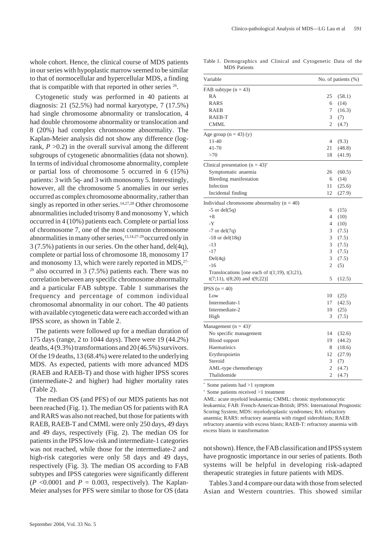whole cohort. Hence, the clinical course of MDS patients in our series with hypoplastic marrow seemed to be similar to that of normocellular and hypercellular MDS, a finding that is compatible with that reported in other series  $26$ .

Cytogenetic study was performed in 40 patients at diagnosis: 21 (52.5%) had normal karyotype, 7 (17.5%) had single chromosome abnormality or translocation, 4 had double chromosome abnormality or translocation and 8 (20%) had complex chromosome abnormality. The Kaplan-Meier analysis did not show any difference (logrank,  $P > 0.2$ ) in the overall survival among the different subgroups of cytogenetic abnormalities (data not shown). In terms of individual chromosome abnormality, complete or partial loss of chromosome 5 occurred in 6 (15%) patients: 3 with 5q- and 3 with monosomy 5. Interestingly, however, all the chromosome 5 anomalies in our series occurred as complex chromosome abnormality, rather than singly as reported in other series.<sup>14,27,28</sup> Other chromosome abnormalities included trisomy 8 and monosomy Y, which occurred in 4 (10%) patients each. Complete or partial loss of chromosome 7, one of the most common chromosome abnormalities in many other series,13,14,27-29 occurred only in 3 (7.5%) patients in our series. On the other hand, del(4q), complete or partial loss of chromosome 18, monosomy 17 and monosomy 13, which were rarely reported in MDS,<sup>27-</sup> <sup>29</sup> also occurred in 3 (7.5%) patients each. There was no correlation between any specific chromosome abnormality and a particular FAB subtype. Table 1 summarises the frequency and percentage of common individual chromosomal abnormality in our cohort. The 40 patients with available cytogenetic data were each accorded with an IPSS score, as shown in Table 2.

The patients were followed up for a median duration of 175 days (range, 2 to 1044 days). There were 19 (44.2%) deaths, 4 (9.3%) transformations and 20 (46.5%) survivors. Of the 19 deaths, 13 (68.4%) were related to the underlying MDS. As expected, patients with more advanced MDS (RAEB and RAEB-T) and those with higher IPSS scores (intermediate-2 and higher) had higher mortality rates (Table 2).

The median OS (and PFS) of our MDS patients has not been reached (Fig. 1). The median OS for patients with RA and RARS was also not reached, but those for patients with RAEB, RAEB-T and CMML were only 250 days, 49 days and 49 days, respectively (Fig. 2). The median OS for patients in the IPSS low-risk and intermediate-1 categories was not reached, while those for the intermediate-2 and high-risk categories were only 58 days and 49 days, respectively (Fig. 3). The median OS according to FAB subtypes and IPSS categories were significantly different  $(P \le 0.0001$  and  $P = 0.003$ , respectively). The Kaplan-Meier analyses for PFS were similar to those for OS (data

Table 1. Demographics and Clinical and Cytogenetic Data of the MDS Patients

| Variable                                            | No. of patients (%) |        |  |  |
|-----------------------------------------------------|---------------------|--------|--|--|
| FAB subtype $(n = 43)$                              |                     |        |  |  |
| RA                                                  | 25                  | (58.1) |  |  |
| <b>RARS</b>                                         | 6                   | (14)   |  |  |
| <b>RAEB</b>                                         | 7                   | (16.3) |  |  |
| RAEB-T                                              | 3                   | (7)    |  |  |
| <b>CMML</b>                                         | $\overline{c}$      | (4.7)  |  |  |
| Age group $(n = 43)$ (y)                            |                     |        |  |  |
| $11 - 40$                                           | 4                   | (9.3)  |  |  |
| $41 - 70$                                           | 21                  | (48.8) |  |  |
| >70                                                 | 18                  | (41.9) |  |  |
| Clinical presentation $(n = 43)^{*}$                |                     |        |  |  |
| Symptomatic anaemia                                 | 26                  | (60.5) |  |  |
| Bleeding manifestation                              | 6                   | (14)   |  |  |
| Infection                                           | 11                  | (25.6) |  |  |
| Incidental finding                                  | 12                  | (27.9) |  |  |
| Individual chromosome abnormality $(n = 40)$        |                     |        |  |  |
| $-5$ or del $(5q)$                                  | 6                   | (15)   |  |  |
| $+8$                                                | 4                   | (10)   |  |  |
| $-Y$                                                | 4                   | (10)   |  |  |
| $-7$ or del $(7q)$                                  | 3                   | (7.5)  |  |  |
| $-18$ or del $(18q)$                                | 3                   | (7.5)  |  |  |
| $-13$                                               | 3                   | (7.5)  |  |  |
| $-17$                                               | 3                   | (7.5)  |  |  |
| Del(4q)                                             | 3                   | (7.5)  |  |  |
| $-16$                                               | $\overline{2}$      | (5)    |  |  |
| Translocations [one each of $t(1;19)$ , $t(3;21)$ , |                     |        |  |  |
| $t(7;11)$ , $t(8;20)$ and $t(9;22)$ ]               | 5                   | (12.5) |  |  |
| IPSS $(n = 40)$                                     |                     |        |  |  |
| Low                                                 | 10                  | (25)   |  |  |
| Intermediate-1                                      | 17                  | (42.5) |  |  |
| Intermediate-2                                      | 10                  | (25)   |  |  |
| High                                                | 3                   | (7.5)  |  |  |
| Management $(n = 43)^{+}$                           |                     |        |  |  |
| No specific management                              | 14                  | (32.6) |  |  |
| <b>Blood</b> support                                | 19                  | (44.2) |  |  |
| Haematinics                                         | 8                   | (18.6) |  |  |
| Erythropoietin                                      | 12                  | (27.9) |  |  |
| Steroid                                             | 3                   | (7)    |  |  |
| AML-type chemotherapy                               | 2                   | (4.7)  |  |  |
| Thalidomide                                         | $\overline{c}$      | (4.7)  |  |  |

\* Some patients had >1 symptom

† Some patients received >1 treatment

AML: acute myeloid leukaemia; CMML: chronic myelomonocytic leukaemia; FAB: French-American-British; IPSS: International Prognostic Scoring System; MDS: myelodysplastic syndromes; RA: refractory anaemia; RARS: refractory anaemia with ringed sideroblasts; RAEB: refractory anaemia with excess blasts; RAEB-T: refractory anaemia with excess blasts in transformation

not shown). Hence, the FAB classification and IPSS system have prognostic importance in our series of patients. Both systems will be helpful in developing risk-adapted therapeutic strategies in future patients with MDS.

Tables 3 and 4 compare our data with those from selected Asian and Western countries. This showed similar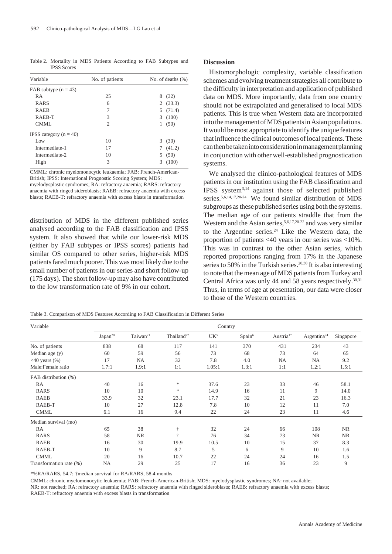Table 2. Mortality in MDS Patients According to FAB Subtypes and IPSS Scores

| Variable                 | No. of patients | No. of deaths $(\%)$ |  |  |  |  |  |  |  |  |
|--------------------------|-----------------|----------------------|--|--|--|--|--|--|--|--|
| FAB subtype $(n = 43)$   |                 |                      |  |  |  |  |  |  |  |  |
| <b>RA</b>                | 25              | 8<br>(32)            |  |  |  |  |  |  |  |  |
| <b>RARS</b>              | 6               | 2(33.3)              |  |  |  |  |  |  |  |  |
| <b>RAEB</b>              | 7               | (71.4)<br>5          |  |  |  |  |  |  |  |  |
| RAEB-T                   | 3               | 3<br>(100)           |  |  |  |  |  |  |  |  |
| CMML                     | 2               | (50)<br>1            |  |  |  |  |  |  |  |  |
| IPSS category $(n = 40)$ |                 |                      |  |  |  |  |  |  |  |  |
| Low                      | 10              | 3<br>(30)            |  |  |  |  |  |  |  |  |
| Intermediate-1           | 17              | (41.2)               |  |  |  |  |  |  |  |  |
| Intermediate-2           | 10              | (50)<br>5            |  |  |  |  |  |  |  |  |
| High                     | 3               | 3<br>(100)           |  |  |  |  |  |  |  |  |

CMML: chronic myelomonocytic leukaemia; FAB: French-American-British; IPSS: International Prognostic Scoring System; MDS: myelodysplastic syndromes; RA: refractory anaemia; RARS: refractory anaemia with ringed sideroblasts; RAEB: refractory anaemia with excess blasts; RAEB-T: refractory anaemia with excess blasts in transformation

distribution of MDS in the different published series analysed according to the FAB classification and IPSS system. It also showed that while our lower-risk MDS (either by FAB subtypes or IPSS scores) patients had similar OS compared to other series, higher-risk MDS patients fared much poorer. This was most likely due to the small number of patients in our series and short follow-up (175 days). The short follow-up may also have contributed to the low transformation rate of 9% in our cohort.

## **Discussion**

Histomorphologic complexity, variable classification schemes and evolving treatment strategies all contribute to the difficulty in interpretation and application of published data on MDS. More importantly, data from one country should not be extrapolated and generalised to local MDS patients. This is true when Western data are incorporated into the management of MDS patients in Asian populations. It would be most appropriate to identify the unique features that influence the clinical outcomes of local patients. These can then be taken into consideration in management planning in conjunction with other well-established prognostication systems.

We analysed the clinico-pathological features of MDS patients in our institution using the FAB classification and IPSS system3,14 against those of selected published series.<sup>5,6,14,17,20-24</sup> We found similar distribution of MDS subgroups as these published series using both the systems. The median age of our patients straddle that from the Western and the Asian series,  $5,6,17,20-22$  and was very similar to the Argentine series. $24$  Like the Western data, the proportion of patients <40 years in our series was <10%. This was in contrast to the other Asian series, which reported proportions ranging from 17% in the Japanese series to 50% in the Turkish series.<sup>20,30</sup> It is also interesting to note that the mean age of MDS patients from Turkey and Central Africa was only 44 and 58 years respectively.<sup>30,31</sup> Thus, in terms of age at presentation, our data were closer to those of the Western countries.

| Table 3. Comparison of MDS Features According to FAB Classification in Different Series |  |  |  |  |
|-----------------------------------------------------------------------------------------|--|--|--|--|
|-----------------------------------------------------------------------------------------|--|--|--|--|

| Variable                           | Country             |                      |                        |                 |                    |                       |                         |                 |  |
|------------------------------------|---------------------|----------------------|------------------------|-----------------|--------------------|-----------------------|-------------------------|-----------------|--|
|                                    | Japan <sup>20</sup> | Taiwan <sup>21</sup> | Thailand <sup>22</sup> | UK <sup>5</sup> | Spain <sup>6</sup> | Austria <sup>17</sup> | Argentina <sup>24</sup> | Singapore<br>43 |  |
| No. of patients                    | 838                 | 68                   | 117                    | 141             | 370                | 431                   | 234                     |                 |  |
| Median age (y)                     | 60                  | 59                   | 56                     | 73              | 68                 | 73                    | 64                      | 65              |  |
| $\langle 40 \rangle$ years $(\% )$ | 17                  | <b>NA</b>            | 32                     | 7.8             | 4.0                | NA                    | <b>NA</b>               | 9.2             |  |
| Male:Female ratio                  | 1.7:1               | 1.9:1                | 1:1                    | 1.05:1          | 1.3:1              | 1:1                   | 1.2:1                   | 1.5:1           |  |
| FAB distribution (%)               |                     |                      |                        |                 |                    |                       |                         |                 |  |
| RA                                 | 40                  | 16                   | *                      | 37.6            | 23                 | 33                    | 46                      | 58.1            |  |
| <b>RARS</b>                        | 10                  | 10                   | $\frac{1}{2}$          | 14.9            | 16                 | 11                    | 9                       | 14.0            |  |
| <b>RAEB</b>                        | 33.9                | 32                   | 23.1                   | 17.7            | 32                 | 21                    | 23                      | 16.3            |  |
| RAEB-T                             | 10                  | 27                   | 12.8                   | 7.8             | 10                 | 12                    | 11                      | 7.0             |  |
| <b>CMML</b>                        | 6.1                 | 16                   | 9.4                    | 22              | 24                 | 23                    |                         | 4.6             |  |
| Median survival (mo)               |                     |                      |                        |                 |                    |                       |                         |                 |  |
| RA                                 | 65                  | 38                   | ÷                      | 32              | 24                 | 66                    | 108                     | <b>NR</b>       |  |
| <b>RARS</b>                        | 58                  | <b>NR</b>            | ÷                      | 76              | 34                 | 73                    | <b>NR</b>               | <b>NR</b>       |  |
| <b>RAEB</b>                        | 16                  | 30                   | 19.9                   | 10.5            | 10                 | 15                    | 37                      | 8.3             |  |
| RAEB-T                             | 10                  | 9                    | 8.7                    | 5               | 6                  | 9                     | 10                      | 1.6             |  |
| <b>CMML</b>                        | 20                  | 16                   | 10.7                   | 22              | 24                 | 24                    | 16                      | 1.5             |  |
| Transformation rate (%)            | NA                  | 29                   | 25                     | 17              | 16                 | 36                    | 23                      | 9               |  |

\*%RA/RARS, 54.7; †median survival for RA/RARS, 58.4 months

CMML: chronic myelomonocytic leukaemia; FAB: French-American-British; MDS: myelodysplastic syndromes; NA: not available;

NR: not reached; RA: refractory anaemia; RARS: refractory anaemia with ringed sideroblasts; RAEB: refractory anaemia with excess blasts; RAEB-T: refractory anaemia with excess blasts in transformation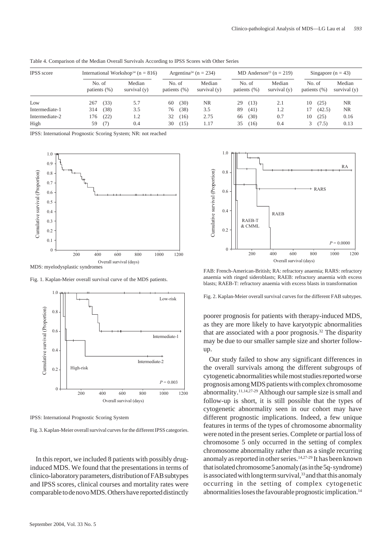| <b>IPSS</b> score<br>Low |                           | International Workshop <sup>14</sup> ( $n = 816$ ) |                          | Argentina <sup>24</sup> (n = 234) |              |                        | MD Anderson <sup>23</sup> ( $n = 219$ ) |              |                        | Singapore ( $n = 43$ ) |               |                        |
|--------------------------|---------------------------|----------------------------------------------------|--------------------------|-----------------------------------|--------------|------------------------|-----------------------------------------|--------------|------------------------|------------------------|---------------|------------------------|
|                          | No. of<br>patients $(\%)$ |                                                    | Median<br>survival $(v)$ | No. of<br>patients $(\% )$        |              | Median<br>survival (y) | No. of<br>patients $(\%)$               |              | Median<br>survival (y) | No. of<br>patients (%) |               | Median<br>survival (y) |
|                          | 267                       | (33)                                               | 5.7                      | 60                                | (30)         | <b>NR</b>              | 29                                      | (13)         | 2.1                    | 10                     | (25)          | NR.                    |
| Intermediate-1           | 314                       | (38)                                               | 3.5                      | 76                                | (38)         | 3.5                    | 89                                      | (41)         | 1.2                    |                        | (42.5)        | NR.                    |
| Intermediate-2<br>High   | .76<br>59                 | (22)<br>(7)                                        | 1.2<br>0.4               | 32<br>30                          | (16)<br>(15) | 2.75<br>1.17           | 66<br>35                                | (30)<br>(16) | 0.7<br>0.4             | 10<br>3.               | (25)<br>(7.5) | 0.16<br>0.13           |

Table 4. Comparison of the Median Overall Survivals According to IPSS Scores with Other Series

IPSS: International Prognostic Scoring System; NR: not reached



MDS: myelodysplastic syndromes

Fig. 1. Kaplan-Meier overall survival curve of the MDS patients.



IPSS: International Prognostic Scoring System

Fig. 3. Kaplan-Meier overall survival curves for the different IPSS categories.

In this report, we included 8 patients with possibly druginduced MDS. We found that the presentations in terms of clinico-laboratory parameters, distribution of FAB subtypes and IPSS scores, clinical courses and mortality rates were comparable to de novo MDS. Others have reported distinctly



FAB: French-American-British; RA: refractory anaemia; RARS: refractory anaemia with ringed sideroblasts; RAEB: refractory anaemia with excess blasts; RAEB-T: refractory anaemia with excess blasts in transformation

Fig. 2. Kaplan-Meier overall survival curves for the different FAB subtypes.

poorer prognosis for patients with therapy-induced MDS, as they are more likely to have karyotypic abnormalities that are associated with a poor prognosis.<sup>32</sup> The disparity may be due to our smaller sample size and shorter followup.

Our study failed to show any significant differences in the overall survivals among the different subgroups of cytogenetic abnormalities while most studies reported worse prognosis among MDS patients with complex chromosome abnormality.11,14,27-29 Although our sample size is small and follow-up is short, it is still possible that the types of cytogenetic abnormality seen in our cohort may have different prognostic implications. Indeed, a few unique features in terms of the types of chromosome abnormality were noted in the present series. Complete or partial loss of chromosome 5 only occurred in the setting of complex chromosome abnormality rather than as a single recurring anomaly as reported in other series.14,27-29 It has been known that isolated chromosome 5 anomaly (as in the 5q- syndrome) is associated with long term survival, $33$  and that this anomaly occurring in the setting of complex cytogenetic abnormalities loses the favourable prognostic implication.14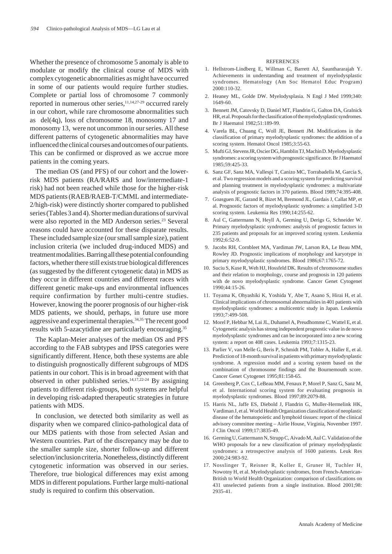Whether the presence of chromosome 5 anomaly is able to modulate or modify the clinical course of MDS with complex cytogenetic abnormalities as might have occurred in some of our patients would require further studies. Complete or partial loss of chromosome 7 commonly reported in numerous other series, $11,14,27-29$  occurred rarely in our cohort, while rare chromosome abnormalities such as del(4q), loss of chromosome 18, monosomy 17 and monosomy 13, were not uncommon in our series. All these different patterns of cytogenetic abnormalities may have influenced the clinical courses and outcomes of our patients. This can be confirmed or disproved as we accrue more patients in the coming years.

The median OS (and PFS) of our cohort and the lowerrisk MDS patients (RA/RARS and low/intermediate-1 risk) had not been reached while those for the higher-risk MDS patients (RAEB/RAEB-T/CMML and intermediate-2/high-risk) were distinctly shorter compared to published series (Tables 3 and 4). Shorter median durations of survival were also reported in the MD Anderson series.<sup>23</sup> Several reasons could have accounted for these disparate results. These included sample size (our small sample size), patient inclusion criteria (we included drug-induced MDS) and treatment modalities. Barring all these potential confounding factors, whether there still exists true biological differences (as suggested by the different cytogenetic data) in MDS as they occur in different countries and different races with different genetic make-ups and environmental influences require confirmation by further multi-centre studies. However, knowing the poorer prognosis of our higher-risk MDS patients, we should, perhaps, in future use more aggressiveand experimental therapies.34,35 The recent good results with 5-azacytidine are particularly encouraging.35

The Kaplan-Meier analyses of the median OS and PFS according to the FAB subtypes and IPSS categories were significantly different. Hence, both these systems are able to distinguish prognostically different subgroups of MDS patients in our cohort. This is in broad agreement with that observed in other published series.14,17,22-24 By assigning patients to different risk-groups, both systems are helpful in developing risk-adapted therapeutic strategies in future patients with MDS.

In conclusion, we detected both similarity as well as disparity when we compared clinico-pathological data of our MDS patients with those from selected Asian and Western countries. Part of the discrepancy may be due to the smaller sample size, shorter follow-up and different selection/inclusion criteria. Nonetheless, distinctly different cytogenetic information was observed in our series. Therefore, true biological differences may exist among MDS in different populations. Further large multi-national study is required to confirm this observation.

#### **REFERENCES**

- 1. Hellstrom-Lindberg E, Willman C, Barrett AJ, Saunthararajah Y. Achievements in understanding and treatment of myelodysplastic syndromes. Hematology (Am Soc Hematol Educ Program) 2000:110-32.
- 2. Heaney ML, Golde DW. Myelodysplasia. N Engl J Med 1999;340: 1649-60.
- 3. Bennett JM, Catovsky D, Daniel MT, Flandrin G, Galton DA, Gralnick HR, et al. Proposals for the classification of the myelodysplastic syndromes. Br J Haematol 1982;51:189-99.
- 4. Varela BL, Chuang C, Woll JE, Bennett JM. Modifications in the classification of primary myelodysplastic syndromes: the addition of a scoring system. Hematol Oncol 1985;3:55-63.
- 5. Mufti GJ, Stevens JR, Oscier DG, Hamblin TJ, Machin D. Myelodysplastic syndromes: a scoring system with prognostic significance. Br J Haematol 1985;59:425-33.
- 6. Sanz GF, Sanz MA, Vallespi T, Canizo MC, Torrabadella M, Garcia S, et al. Two regression models and a scoring system for predicting survival and planning treatment in myelodysplastic syndromes: a multivariate analysis of prognostic factors in 370 patients. Blood 1989;74:395-408.
- 7. Goasguen JE, Garand R, Bizet M, Bremond JL, Gardais J, Callat MP, et al. Prognostic factors of myelodysplastic syndromes: a simplified 3-D scoring system. Leukemia Res 1990;14:255-62.
- 8. Aul C, Gattermann N, Heyll A, Germing U, Derigs G, Schneider W. Primary myelodysplastic syndromes: analysis of prognostic factors in 235 patients and proposals for an improved scoring system. Leukemia 1992;6:52-9.
- 9. Jacobs RH, Cornbleet MA, Vardiman JW, Larson RA, Le Beau MM, Rowley JD. Prognostic implications of morphology and karyotype in primary myelodysplastic syndromes. Blood 1986;67:1765-72.
- 10. Suciu S, Kuse R, Weh HJ, Hossfeld DK. Results of chromosome studies and their relation to morphology, course and prognosis in 120 patients with de novo myelodysplastic syndrome. Cancer Genet Cytogenet 1990;44:15-26.
- 11. Toyama K, Ohyashiki K, Yoshida Y, Abe T, Asano S, Hirai H, et al. Clinical implications of chromosomal abnormalities in 401 patients with myelodysplastic syndromes: a multicentric study in Japan. Leukemia 1993;7:499-508.
- 12. Morel P, Hebbar M, Lai JL, Duhamel A, Preudhomme C, Wattel E, et al. Cytogenetic analysis has strong independent prognostic value in de novo myelodysplastic syndromes and can be incorporated into a new scoring system: a report on 408 cases. Leukemia 1993;7:1315-23.
- 13. Parlier V, van Melle G, Beris P, Schmidt PM, Tobler A, Haller E, et al. Prediction of 18-month survival in patients with primary myelodysplastic syndrome. A regression model and a scoring system based on the combination of chromosome findings and the Bournemouth score. Cancer Genet Cytogenet 1995;81:158-65.
- 14. Greenberg P, Cox C, LeBeau MM, Fenaux P, Morel P, Sanz G, Sanz M, et al. International scoring system for evaluating prognosis in myelodysplastic syndromes. Blood 1997;89:2079-88.
- 15. Harris NL, Jaffe ES, Diebold J, Flandrin G, Muller-Hermelink HK, Vardiman J, et al. World Health Organization classification of neoplastic disease of the hematopoietic and lymphoid tissues: report of the clinical advisory committee meeting – Airlie House, Virginia, November 1997. J Clin Oncol 1999;17:3835-49.
- 16. Germing U, Gattermann N, Strupp C, Aivado M, Aul C. Validation of the WHO proposals for a new classification of primary myelodysplastic syndromes: a retrospective analysis of 1600 patients. Leuk Res 2000;24:983-92.
- 17. Nosslinger T, Reisner R, Koller E, Gruner H, Tuchler H, Nowotny H, et al. Myelodysplastic syndromes, from French-American-British to World Health Organization: comparison of classifications on 431 unselected patients from a single institution. Blood 2001;98: 2935-41.